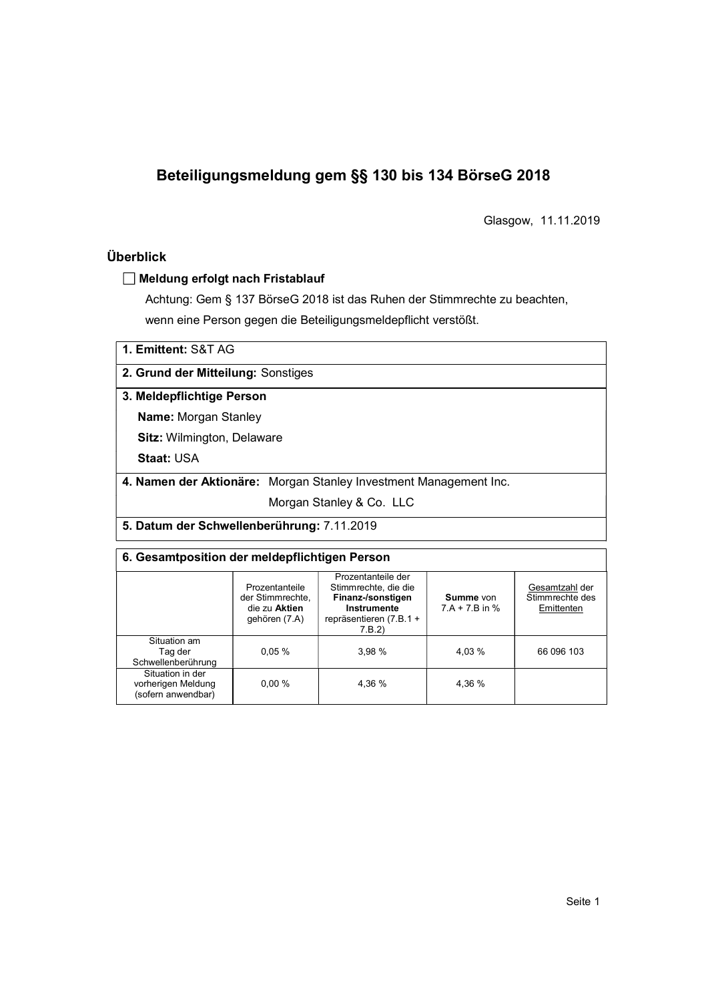# Beteiligungsmeldung gem §§ 130 bis 134 BörseG 2018

Glasgow, 11.11.2019

# Überblick

#### Meldung erfolgt nach Fristablauf

Achtung: Gem § 137 BörseG 2018 ist das Ruhen der Stimmrechte zu beachten, wenn eine Person gegen die Beteiligungsmeldepflicht verstößt.

| 1. Emittent: S&T AG |  |
|---------------------|--|
|---------------------|--|

2. Grund der Mitteilung: Sonstiges

#### 3. Meldepflichtige Person

Name: Morgan Stanley

Sitz: Wilmington, Delaware

Staat: USA

4. Namen der Aktionäre: Morgan Stanley Investment Management Inc.

Morgan Stanley & Co. LLC

5. Datum der Schwellenberührung: 7.11.2019

## 6. Gesamtposition der meldepflichtigen Person

| Prozentanteile<br>der Stimmrechte,<br>die zu Aktien<br>gehören (7.A) | Prozentanteile der<br>Stimmrechte, die die<br>Finanz-/sonstigen<br>Instrumente<br>repräsentieren (7.B.1+<br>7.B.2 | Summe von<br>$7.A + 7.B$ in % | Gesamtzahl der<br>Stimmrechte des<br>Emittenten |  |  |
|----------------------------------------------------------------------|-------------------------------------------------------------------------------------------------------------------|-------------------------------|-------------------------------------------------|--|--|
| 0.05%                                                                | 3,98 %                                                                                                            | 4.03 %                        | 66 096 103                                      |  |  |
| $0.00 \%$                                                            | 4,36 %                                                                                                            | 4,36 %                        |                                                 |  |  |
|                                                                      |                                                                                                                   |                               |                                                 |  |  |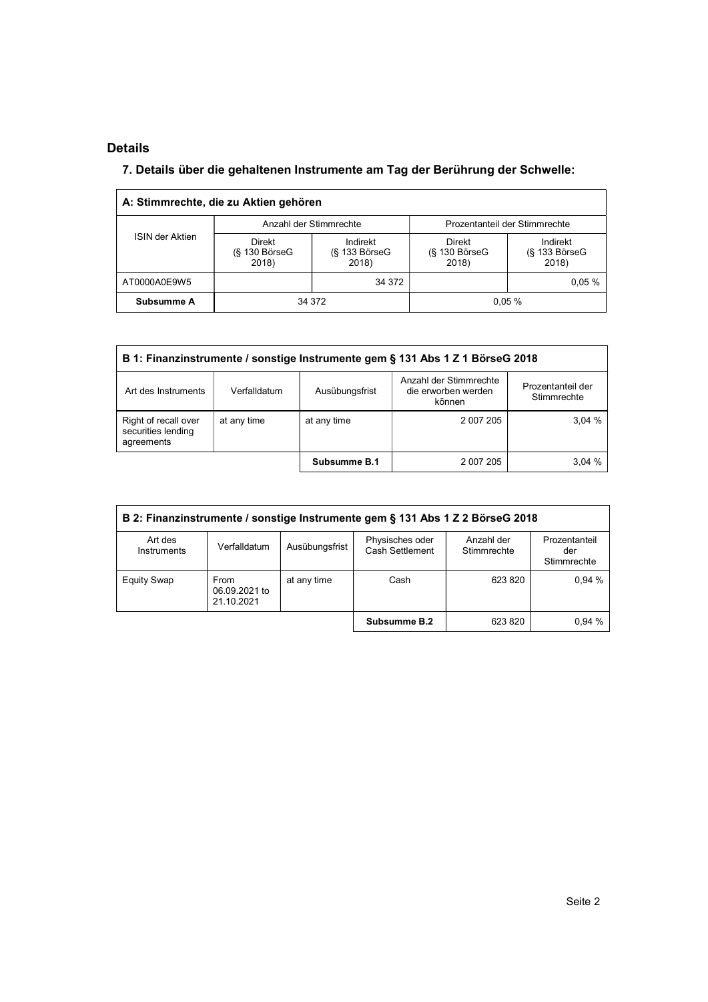# Details

l,

# 7. Details über die gehaltenen Instrumente am Tag der Berührung der Schwelle:

|                 | A: Stimmrechte, die zu Aktien gehören |                                         |                                       |                                         |
|-----------------|---------------------------------------|-----------------------------------------|---------------------------------------|-----------------------------------------|
|                 |                                       | Anzahl der Stimmrechte                  |                                       | Prozentanteil der Stimmrechte           |
| ISIN der Aktien | Direkt<br>$(S$ 130 Börse $G$<br>2018) | Indirekt<br>$(S$ 133 Börse $G$<br>2018) | Direkt<br>$(S$ 130 Börse $G$<br>2018) | Indirekt<br>$(S$ 133 Börse $G$<br>2018) |
| AT0000A0E9W5    |                                       | 34 372                                  |                                       | 0.05%                                   |
| Subsumme A      |                                       | 34 372                                  |                                       | 0.05%                                   |

| B 1: Finanzinstrumente / sonstige Instrumente gem § 131 Abs 1 Z 1 BörseG 2018 |              |                |                                                         |                                  |  |  |
|-------------------------------------------------------------------------------|--------------|----------------|---------------------------------------------------------|----------------------------------|--|--|
| Art des Instruments                                                           | Verfalldatum | Ausübungsfrist | Anzahl der Stimmrechte<br>die erworben werden<br>können | Prozentanteil der<br>Stimmrechte |  |  |
| Right of recall over<br>securities lending<br>agreements                      | at any time  | at any time    | 2 007 205                                               | 3.04%                            |  |  |
|                                                                               |              | Subsumme B.1   | 2 007 205                                               | 3.04%                            |  |  |

| B 2: Finanzinstrumente / sonstige Instrumente gem § 131 Abs 1 Z 2 BörseG 2018 |                                     |                |                                           |                           |                                     |  |
|-------------------------------------------------------------------------------|-------------------------------------|----------------|-------------------------------------------|---------------------------|-------------------------------------|--|
| Art des<br>Instruments                                                        | Verfalldatum                        | Ausübungsfrist | Physisches oder<br><b>Cash Settlement</b> | Anzahl der<br>Stimmrechte | Prozentanteil<br>der<br>Stimmrechte |  |
| <b>Equity Swap</b>                                                            | From<br>06.09.2021 to<br>21.10.2021 | at any time    | Cash                                      | 623 820                   | 0.94%                               |  |
|                                                                               |                                     |                | Subsumme B.2                              | 623 820                   | 0.94%                               |  |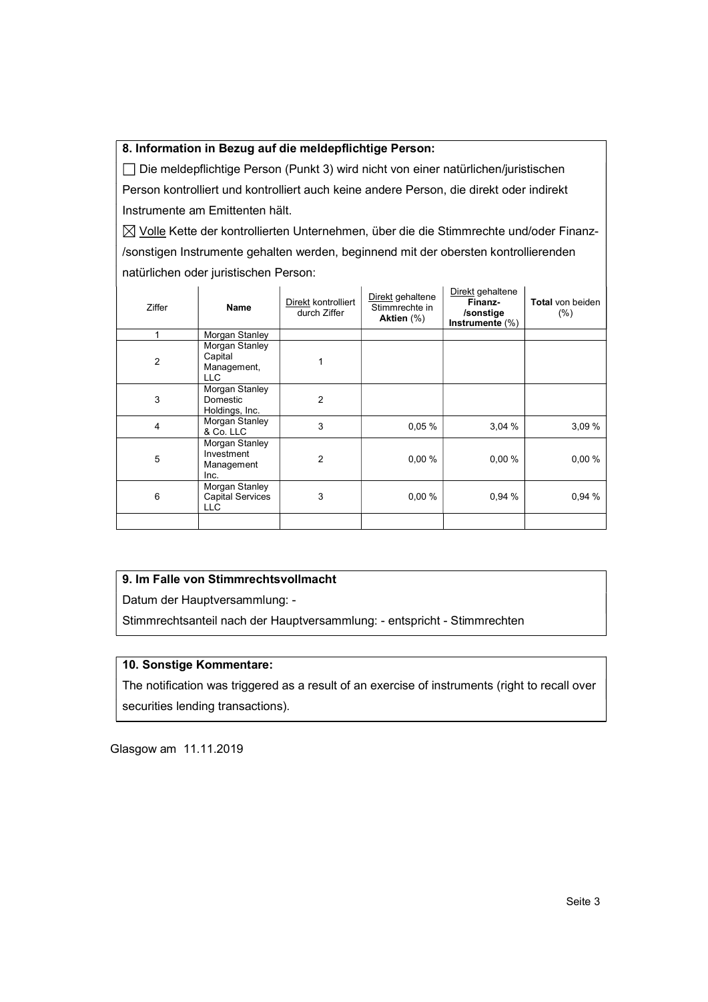#### 8. Information in Bezug auf die meldepflichtige Person:

 Die meldepflichtige Person (Punkt 3) wird nicht von einer natürlichen/juristischen Person kontrolliert und kontrolliert auch keine andere Person, die direkt oder indirekt Instrumente am Emittenten hält.

 $\boxtimes$  Volle Kette der kontrollierten Unternehmen, über die die Stimmrechte und/oder Finanz-/sonstigen Instrumente gehalten werden, beginnend mit der obersten kontrollierenden natürlichen oder juristischen Person:

| Ziffer         | Name                                                    | Direkt kontrolliert<br>durch Ziffer | Direkt gehaltene<br>Stimmrechte in<br>Aktien (%) | Direkt gehaltene<br>Finanz-<br>/sonstige<br>Instrumente $(\%)$ | Total von beiden<br>(% ) |
|----------------|---------------------------------------------------------|-------------------------------------|--------------------------------------------------|----------------------------------------------------------------|--------------------------|
|                | Morgan Stanley                                          |                                     |                                                  |                                                                |                          |
| $\overline{2}$ | Morgan Stanley<br>Capital<br>Management,<br>LLC         |                                     |                                                  |                                                                |                          |
| 3              | Morgan Stanley<br>Domestic<br>Holdings, Inc.            | 2                                   |                                                  |                                                                |                          |
| 4              | Morgan Stanley<br>& Co. LLC                             | 3                                   | 0.05%                                            | 3,04%                                                          | 3,09%                    |
| 5              | Morgan Stanley<br>Investment<br>Management<br>Inc.      | 2                                   | 0,00%                                            | 0,00%                                                          | 0,00%                    |
| 6              | Morgan Stanley<br><b>Capital Services</b><br><b>LLC</b> | 3                                   | 0,00%                                            | 0,94 %                                                         | 0,94 %                   |
|                |                                                         |                                     |                                                  |                                                                |                          |

# 9. Im Falle von Stimmrechtsvollmacht

Datum der Hauptversammlung: -

Stimmrechtsanteil nach der Hauptversammlung: - entspricht - Stimmrechten

## 10. Sonstige Kommentare:

The notification was triggered as a result of an exercise of instruments (right to recall over securities lending transactions).

Glasgow am 11.11.2019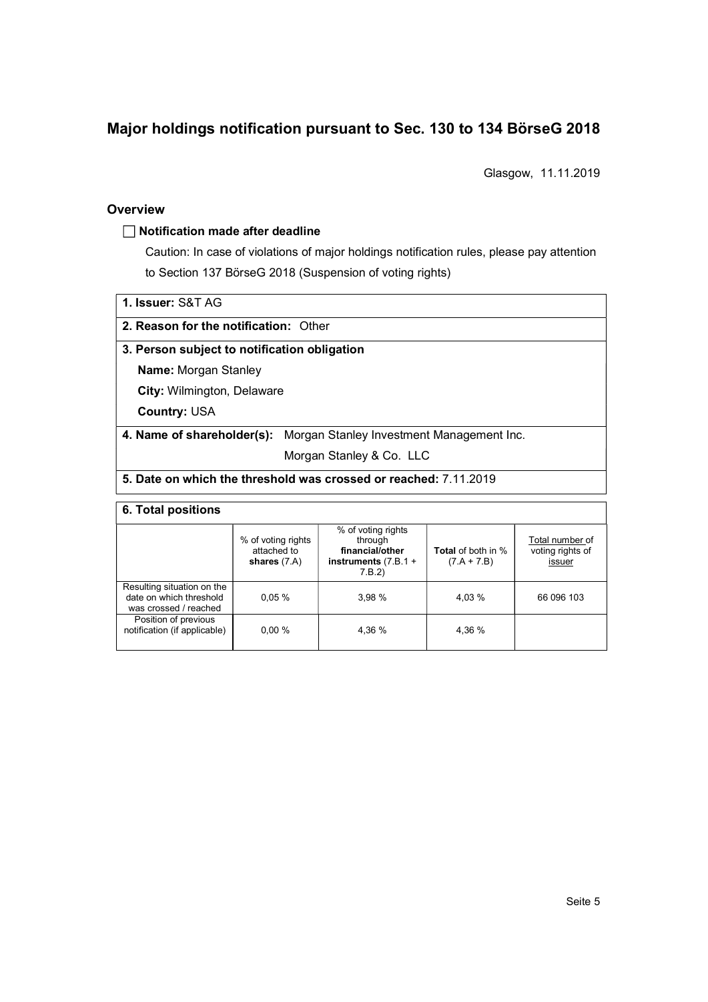# Major holdings notification pursuant to Sec. 130 to 134 BörseG 2018

Glasgow, 11.11.2019

#### **Overview**

#### $\Box$  Notification made after deadline

Caution: In case of violations of major holdings notification rules, please pay attention to Section 137 BörseG 2018 (Suspension of voting rights)

1. Issuer: S&T AG

2. Reason for the notification: Other

## 3. Person subject to notification obligation

Name: Morgan Stanley

City: Wilmington, Delaware

Country: USA

### 4. Name of shareholder(s): Morgan Stanley Investment Management Inc.

Morgan Stanley & Co. LLC

# 5. Date on which the threshold was crossed or reached: 7.11.2019

#### 6. Total positions

|                                                                                | % of voting rights<br>attached to<br>shares $(7.A)$ | % of voting rights<br>through<br>financial/other<br>instruments $(7.B.1 +$<br>7.B.2 | <b>Total</b> of both in %<br>$(7.A + 7.B)$ | Total number of<br>voting rights of<br>issuer |
|--------------------------------------------------------------------------------|-----------------------------------------------------|-------------------------------------------------------------------------------------|--------------------------------------------|-----------------------------------------------|
| Resulting situation on the<br>date on which threshold<br>was crossed / reached | 0.05%                                               | 3.98%                                                                               | 4.03 %                                     | 66 096 103                                    |
| Position of previous<br>notification (if applicable)                           | 0.00%                                               | 4.36 %                                                                              | 4.36 %                                     |                                               |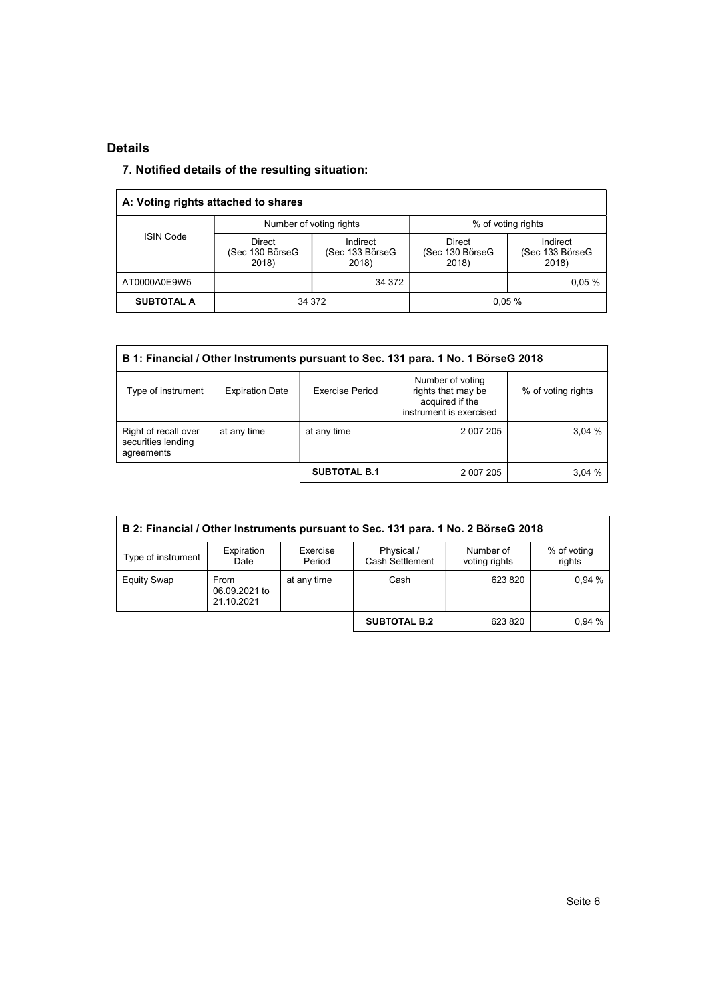### Details

# 7. Notified details of the resulting situation:

| A: Voting rights attached to shares |                                           |                                      |                                    |                                      |
|-------------------------------------|-------------------------------------------|--------------------------------------|------------------------------------|--------------------------------------|
|                                     |                                           | Number of voting rights              |                                    | % of voting rights                   |
| <b>ISIN Code</b>                    | <b>Direct</b><br>(Sec 130 BörseG<br>2018) | Indirect<br>(Sec 133 BörseG<br>2018) | Direct<br>(Sec 130 BörseG<br>2018) | Indirect<br>(Sec 133 BörseG<br>2018) |
| AT0000A0E9W5                        |                                           | 34 372                               |                                    | $0.05 \%$                            |
| <b>SUBTOTAL A</b><br>34 372         |                                           |                                      |                                    | 0.05%                                |

| B 1: Financial / Other Instruments pursuant to Sec. 131 para. 1 No. 1 BörseG 2018 |                        |                        |                                                                                      |                    |  |  |  |
|-----------------------------------------------------------------------------------|------------------------|------------------------|--------------------------------------------------------------------------------------|--------------------|--|--|--|
| Type of instrument                                                                | <b>Expiration Date</b> | <b>Exercise Period</b> | Number of voting<br>rights that may be<br>acquired if the<br>instrument is exercised | % of voting rights |  |  |  |
| Right of recall over<br>securities lending<br>agreements                          | at any time            | at any time            | 2 007 205                                                                            | 3.04%              |  |  |  |
|                                                                                   |                        | <b>SUBTOTAL B.1</b>    | 2 007 205                                                                            | 3,04%              |  |  |  |

| B 2: Financial / Other Instruments pursuant to Sec. 131 para. 1 No. 2 BörseG 2018 |                                     |                    |                               |                            |                       |  |
|-----------------------------------------------------------------------------------|-------------------------------------|--------------------|-------------------------------|----------------------------|-----------------------|--|
| Type of instrument                                                                | Expiration<br>Date                  | Exercise<br>Period | Physical /<br>Cash Settlement | Number of<br>voting rights | % of voting<br>rights |  |
| <b>Equity Swap</b>                                                                | From<br>06.09.2021 to<br>21.10.2021 | at any time        | Cash                          | 623 820                    | 0.94%                 |  |
|                                                                                   |                                     |                    | <b>SUBTOTAL B.2</b>           | 623 820                    | 0.94%                 |  |